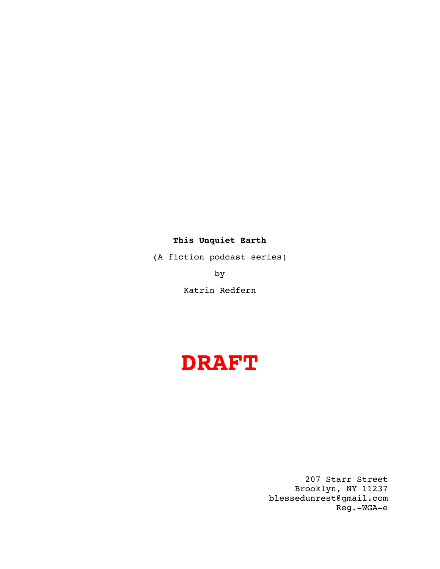### **This Unquiet Earth**

(A fiction podcast series)

by

Katrin Redfern

# **DRAFT**

207 Starr Street Brooklyn, NY 11237 blessedunrest@gmail.com Reg.-WGA-e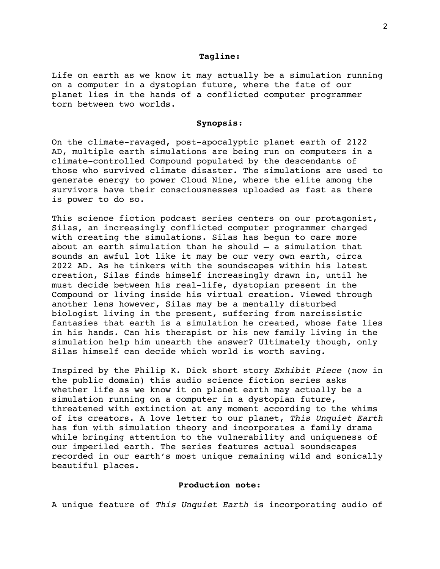#### **Tagline:**

Life on earth as we know it may actually be a simulation running on a computer in a dystopian future, where the fate of our planet lies in the hands of a conflicted computer programmer torn between two worlds.

### **Synopsis:**

On the climate-ravaged, post-apocalyptic planet earth of 2122 AD, multiple earth simulations are being run on computers in a climate-controlled Compound populated by the descendants of those who survived climate disaster. The simulations are used to generate energy to power Cloud Nine, where the elite among the survivors have their consciousnesses uploaded as fast as there is power to do so.

This science fiction podcast series centers on our protagonist, Silas, an increasingly conflicted computer programmer charged with creating the simulations. Silas has begun to care more about an earth simulation than he should – a simulation that sounds an awful lot like it may be our very own earth, circa 2022 AD. As he tinkers with the soundscapes within his latest creation, Silas finds himself increasingly drawn in, until he must decide between his real-life, dystopian present in the Compound or living inside his virtual creation. Viewed through another lens however, Silas may be a mentally disturbed biologist living in the present, suffering from narcissistic fantasies that earth is a simulation he created, whose fate lies in his hands. Can his therapist or his new family living in the simulation help him unearth the answer? Ultimately though, only Silas himself can decide which world is worth saving.

Inspired by the Philip K. Dick short story *Exhibit Piece* (now in the public domain) this audio science fiction series asks whether life as we know it on planet earth may actually be a simulation running on a computer in a dystopian future, threatened with extinction at any moment according to the whims of its creators. A love letter to our planet, *This Unquiet Earth* has fun with simulation theory and incorporates a family drama while bringing attention to the vulnerability and uniqueness of our imperiled earth. The series features actual soundscapes recorded in our earth's most unique remaining wild and sonically beautiful places.

### **Production note:**

A unique feature of *This Unquiet Earth* is incorporating audio of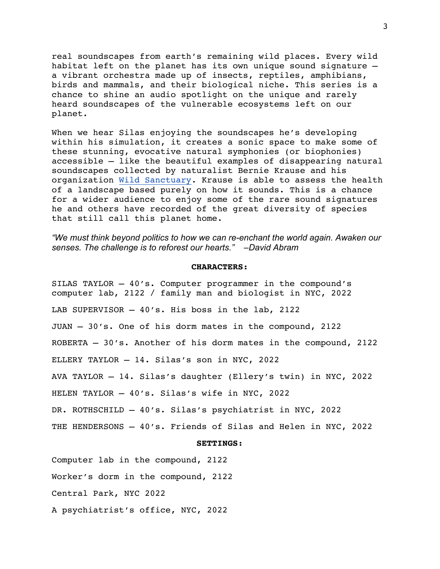real soundscapes from earth's remaining wild places. Every wild habitat left on the planet has its own unique sound signature – a vibrant orchestra made up of insects, reptiles, amphibians, birds and mammals, and their biological niche. This series is a chance to shine an audio spotlight on the unique and rarely heard soundscapes of the vulnerable ecosystems left on our planet.

When we hear Silas enjoying the soundscapes he's developing within his simulation, it creates a sonic space to make some of these stunning, evocative natural symphonies (or biophonies) accessible – like the beautiful examples of disappearing natural soundscapes collected by naturalist Bernie Krause and his organization Wild Sanctuary. Krause is able to assess the health of a landscape based purely on how it sounds. This is a chance for a wider audience to enjoy some of the rare sound signatures he and others have recorded of the great diversity of species that still call this planet home.

*"We must think beyond politics to how we can re-enchant the world again. Awaken our senses. The challenge is to reforest our hearts." –David Abram*

### **CHARACTERS:**

SILAS TAYLOR – 40's. Computer programmer in the compound's computer lab, 2122 / family man and biologist in NYC, 2022 LAB SUPERVISOR – 40's. His boss in the lab, 2122 JUAN – 30's. One of his dorm mates in the compound, 2122 ROBERTA – 30's. Another of his dorm mates in the compound, 2122 ELLERY TAYLOR – 14. Silas's son in NYC, 2022 AVA TAYLOR – 14. Silas's daughter (Ellery's twin) in NYC, 2022 HELEN TAYLOR – 40's. Silas's wife in NYC, 2022

DR. ROTHSCHILD – 40's. Silas's psychiatrist in NYC, 2022

THE HENDERSONS – 40's. Friends of Silas and Helen in NYC, 2022

#### **SETTINGS:**

Computer lab in the compound, 2122

Worker's dorm in the compound, 2122

Central Park, NYC 2022

A psychiatrist's office, NYC, 2022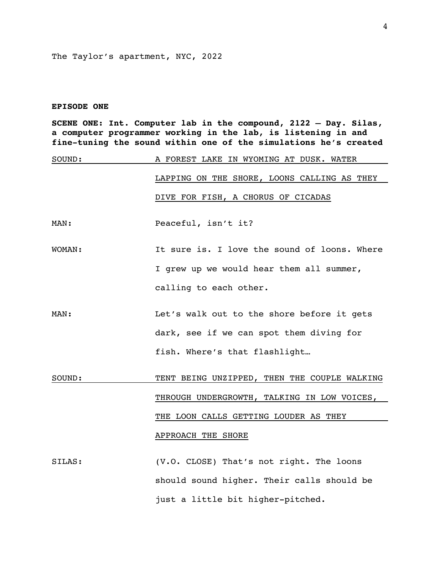The Taylor's apartment, NYC, 2022

### **EPISODE ONE**

**SCENE ONE: Int. Computer lab in the compound, 2122 – Day. Silas, a computer programmer working in the lab, is listening in and fine-tuning the sound within one of the simulations he's created** 

| SOUND: | A FOREST LAKE IN WYOMING AT DUSK. WATER      |
|--------|----------------------------------------------|
|        | LAPPING ON THE SHORE, LOONS CALLING AS THEY  |
|        | DIVE FOR FISH, A CHORUS OF CICADAS           |
| MAN:   | Peaceful, isn't it?                          |
| WOMAN: | It sure is. I love the sound of loons. Where |
|        | I grew up we would hear them all summer,     |
|        | calling to each other.                       |
| MAN:   | Let's walk out to the shore before it gets   |
|        | dark, see if we can spot them diving for     |
|        | fish. Where's that flashlight                |
| SOUND: | TENT BEING UNZIPPED, THEN THE COUPLE WALKING |
|        | THROUGH UNDERGROWTH, TALKING IN LOW VOICES,  |
|        | THE LOON CALLS GETTING LOUDER AS THEY        |
|        | APPROACH THE SHORE                           |
| SILAS: | (V.O. CLOSE) That's not right. The loons     |
|        | should sound higher. Their calls should be   |

just a little bit higher-pitched.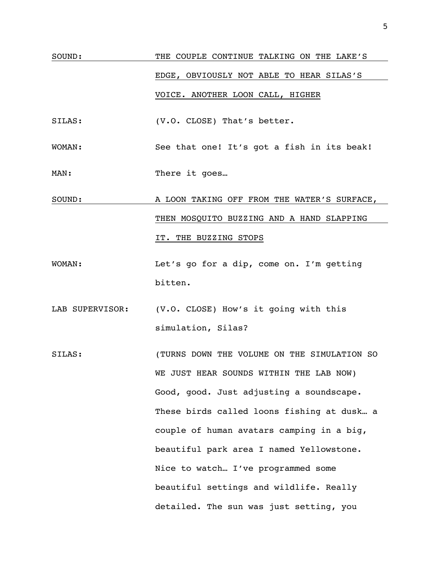## SOUND: THE COUPLE CONTINUE TALKING ON THE LAKE'S EDGE, OBVIOUSLY NOT ABLE TO HEAR SILAS'S VOICE. ANOTHER LOON CALL, HIGHER

SILAS: (V.O. CLOSE) That's better.

WOMAN: See that one! It's got a fish in its beak!

MAN: There it goes...

### SOUND: A LOON TAKING OFF FROM THE WATER'S SURFACE, THEN MOSQUITO BUZZING AND A HAND SLAPPING IT. THE BUZZING STOPS

- WOMAN: Let's go for a dip, come on. I'm getting bitten.
- LAB SUPERVISOR: (V.O. CLOSE) How's it going with this simulation, Silas?
- SILAS: (TURNS DOWN THE VOLUME ON THE SIMULATION SO WE JUST HEAR SOUNDS WITHIN THE LAB NOW) Good, good. Just adjusting a soundscape. These birds called loons fishing at dusk… a couple of human avatars camping in a big, beautiful park area I named Yellowstone. Nice to watch… I've programmed some beautiful settings and wildlife. Really detailed. The sun was just setting, you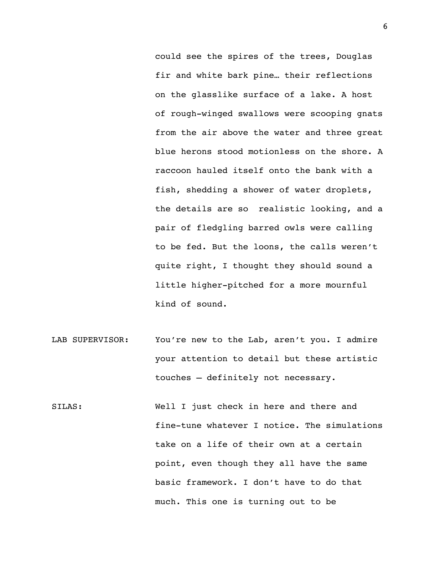could see the spires of the trees, Douglas fir and white bark pine… their reflections on the glasslike surface of a lake. A host of rough-winged swallows were scooping gnats from the air above the water and three great blue herons stood motionless on the shore. A raccoon hauled itself onto the bank with a fish, shedding a shower of water droplets, the details are so realistic looking, and a pair of fledgling barred owls were calling to be fed. But the loons, the calls weren't quite right, I thought they should sound a little higher-pitched for a more mournful kind of sound.

- LAB SUPERVISOR: You're new to the Lab, aren't you. I admire your attention to detail but these artistic touches – definitely not necessary.
- SILAS: Well I just check in here and there and fine-tune whatever I notice. The simulations take on a life of their own at a certain point, even though they all have the same basic framework. I don't have to do that much. This one is turning out to be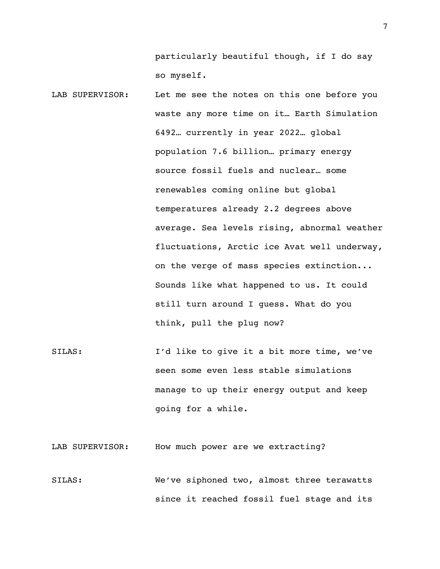particularly beautiful though, if I do say so myself.

- LAB SUPERVISOR: Let me see the notes on this one before you waste any more time on it… Earth Simulation 6492… currently in year 2022… global population 7.6 billion… primary energy source fossil fuels and nuclear… some renewables coming online but global temperatures already 2.2 degrees above average. Sea levels rising, abnormal weather fluctuations, Arctic ice Avat well underway, on the verge of mass species extinction... Sounds like what happened to us. It could still turn around I guess. What do you think, pull the plug now?
- SILAS: I'd like to give it a bit more time, we've seen some even less stable simulations manage to up their energy output and keep going for a while.

LAB SUPERVISOR: How much power are we extracting?

SILAS: We've siphoned two, almost three terawatts since it reached fossil fuel stage and its 7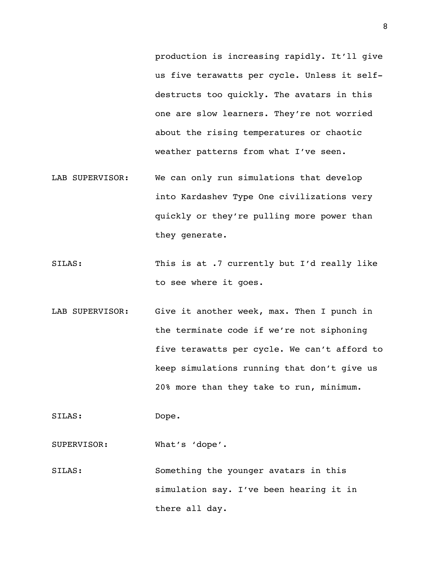production is increasing rapidly. It'll give us five terawatts per cycle. Unless it selfdestructs too quickly. The avatars in this one are slow learners. They're not worried about the rising temperatures or chaotic weather patterns from what I've seen.

- LAB SUPERVISOR: We can only run simulations that develop into Kardashev Type One civilizations very quickly or they're pulling more power than they generate.
- SILAS: This is at .7 currently but I'd really like to see where it goes.
- LAB SUPERVISOR: Give it another week, max. Then I punch in the terminate code if we're not siphoning five terawatts per cycle. We can't afford to keep simulations running that don't give us 20% more than they take to run, minimum.

SILAS: Dope.

SUPERVISOR: What's 'dope'.

SILAS: Something the younger avatars in this simulation say. I've been hearing it in there all day.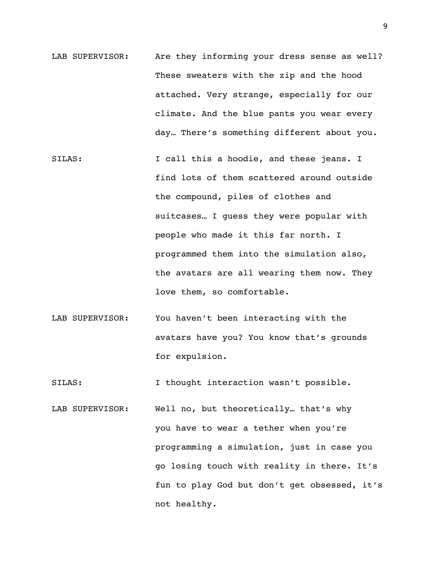- LAB SUPERVISOR: Are they informing your dress sense as well? These sweaters with the zip and the hood attached. Very strange, especially for our climate. And the blue pants you wear every day… There's something different about you.
- SILAS: I call this a hoodie, and these jeans. I find lots of them scattered around outside the compound, piles of clothes and suitcases… I guess they were popular with people who made it this far north. I programmed them into the simulation also, the avatars are all wearing them now. They love them, so comfortable.
- LAB SUPERVISOR: You haven't been interacting with the avatars have you? You know that's grounds for expulsion.

SILAS: I thought interaction wasn't possible.

LAB SUPERVISOR: Well no, but theoretically… that's why you have to wear a tether when you're programming a simulation, just in case you go losing touch with reality in there. It's fun to play God but don't get obsessed, it's not healthy.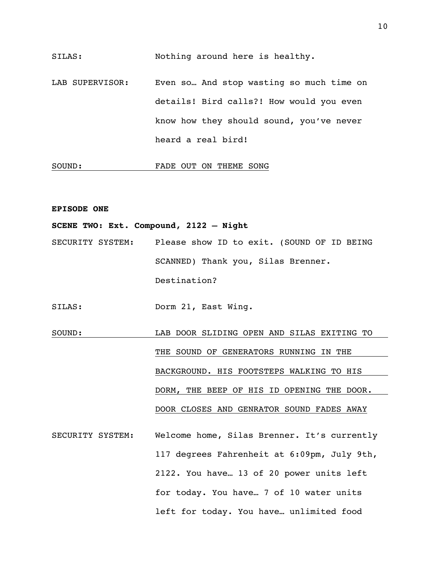SILAS: Nothing around here is healthy.

LAB SUPERVISOR: Even so... And stop wasting so much time on details! Bird calls?! How would you even know how they should sound, you've never heard a real bird!

### SOUND: FADE OUT ON THEME SONG

### **EPISODE ONE**

**SCENE TWO: Ext. Compound, 2122 – Night**

SECURITY SYSTEM: Please show ID to exit. (SOUND OF ID BEING SCANNED) Thank you, Silas Brenner. Destination?

SILAS: Dorm 21, East Wing.

- SOUND: LAB DOOR SLIDING OPEN AND SILAS EXITING TO THE SOUND OF GENERATORS RUNNING IN THE BACKGROUND. HIS FOOTSTEPS WALKING TO HIS DORM, THE BEEP OF HIS ID OPENING THE DOOR. DOOR CLOSES AND GENRATOR SOUND FADES AWAY
- SECURITY SYSTEM: Welcome home, Silas Brenner. It's currently 117 degrees Fahrenheit at 6:09pm, July 9th, 2122. You have… 13 of 20 power units left for today. You have… 7 of 10 water units left for today. You have… unlimited food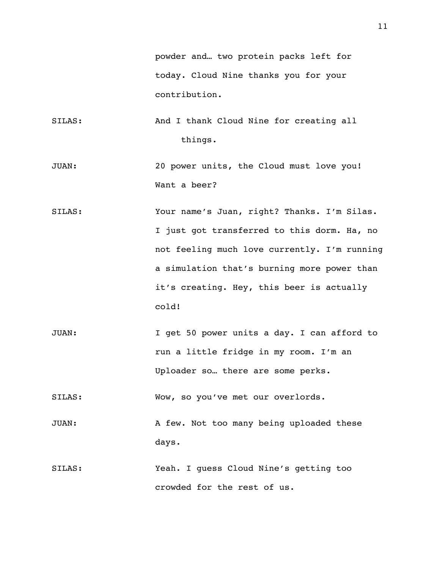powder and… two protein packs left for today. Cloud Nine thanks you for your contribution.

- SILAS: And I thank Cloud Nine for creating all things.
- JUAN: 20 power units, the Cloud must love you! Want a beer?
- SILAS: Your name's Juan, right? Thanks. I'm Silas. I just got transferred to this dorm. Ha, no not feeling much love currently. I'm running a simulation that's burning more power than it's creating. Hey, this beer is actually cold!
- JUAN: I get 50 power units a day. I can afford to run a little fridge in my room. I'm an Uploader so… there are some perks.

SILAS: Wow, so you've met our overlords.

JUAN: A few. Not too many being uploaded these days.

SILAS: Yeah. I guess Cloud Nine's getting too crowded for the rest of us.

11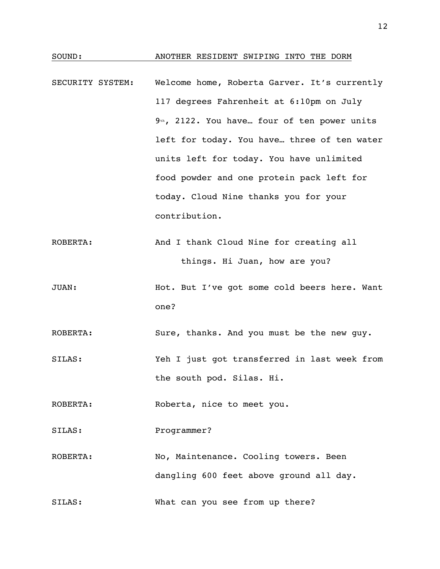### SOUND: ANOTHER RESIDENT SWIPING INTO THE DORM

- SECURITY SYSTEM: Welcome home, Roberta Garver. It's currently 117 degrees Fahrenheit at 6:10pm on July 9<sup>th</sup>, 2122. You have... four of ten power units left for today. You have… three of ten water units left for today. You have unlimited food powder and one protein pack left for today. Cloud Nine thanks you for your contribution.
- ROBERTA: And I thank Cloud Nine for creating all things. Hi Juan, how are you?
- JUAN: Hot. But I've got some cold beers here. Want one?

ROBERTA: Sure, thanks. And you must be the new guy.

SILAS: Yeh I just got transferred in last week from the south pod. Silas. Hi.

ROBERTA: Roberta, nice to meet you.

SILAS: Programmer?

ROBERTA: No, Maintenance. Cooling towers. Been dangling 600 feet above ground all day.

SILAS: What can you see from up there?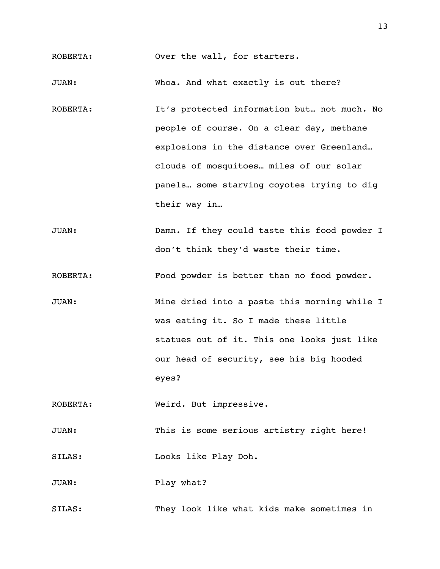ROBERTA: Over the wall, for starters.

JUAN: Whoa. And what exactly is out there?

- ROBERTA: It's protected information but... not much. No people of course. On a clear day, methane explosions in the distance over Greenland… clouds of mosquitoes… miles of our solar panels… some starving coyotes trying to dig their way in…
- JUAN: Damn. If they could taste this food powder I don't think they'd waste their time.
- ROBERTA: Food powder is better than no food powder.
- JUAN: Mine dried into a paste this morning while I was eating it. So I made these little statues out of it. This one looks just like our head of security, see his big hooded eyes?

ROBERTA: Weird. But impressive.

JUAN: This is some serious artistry right here!

SILAS: Looks like Play Doh.

JUAN: Play what?

SILAS: They look like what kids make sometimes in

13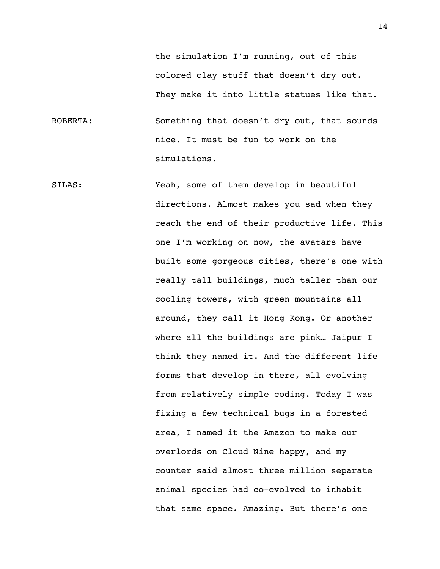the simulation I'm running, out of this colored clay stuff that doesn't dry out. They make it into little statues like that.

ROBERTA: Something that doesn't dry out, that sounds nice. It must be fun to work on the simulations.

SILAS: Yeah, some of them develop in beautiful directions. Almost makes you sad when they reach the end of their productive life. This one I'm working on now, the avatars have built some gorgeous cities, there's one with really tall buildings, much taller than our cooling towers, with green mountains all around, they call it Hong Kong. Or another where all the buildings are pink… Jaipur I think they named it. And the different life forms that develop in there, all evolving from relatively simple coding. Today I was fixing a few technical bugs in a forested area, I named it the Amazon to make our overlords on Cloud Nine happy, and my counter said almost three million separate animal species had co-evolved to inhabit that same space. Amazing. But there's one

14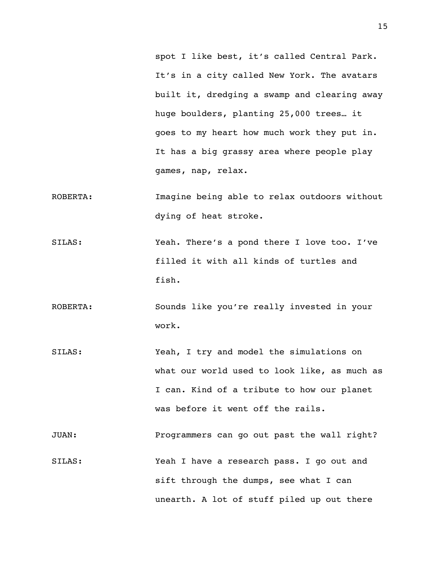spot I like best, it's called Central Park. It's in a city called New York. The avatars built it, dredging a swamp and clearing away huge boulders, planting 25,000 trees… it goes to my heart how much work they put in. It has a big grassy area where people play games, nap, relax.

- ROBERTA: Imagine being able to relax outdoors without dying of heat stroke.
- SILAS: Yeah. There's a pond there I love too. I've filled it with all kinds of turtles and fish.
- ROBERTA: Sounds like you're really invested in your work.
- SILAS: Yeah, I try and model the simulations on what our world used to look like, as much as I can. Kind of a tribute to how our planet was before it went off the rails.

JUAN: Programmers can go out past the wall right?

SILAS: Yeah I have a research pass. I go out and sift through the dumps, see what I can unearth. A lot of stuff piled up out there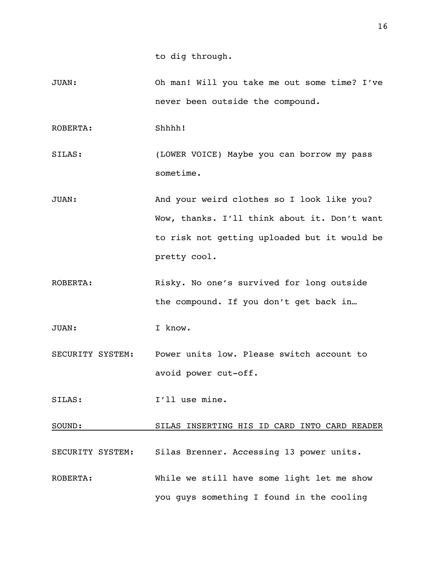JUAN: Oh man! Will you take me out some time? I've never been outside the compound.

ROBERTA: Shhhh!

- SILAS: (LOWER VOICE) Maybe you can borrow my pass sometime.
- JUAN: And your weird clothes so I look like you? Wow, thanks. I'll think about it. Don't want to risk not getting uploaded but it would be pretty cool.
- ROBERTA: Risky. No one's survived for long outside the compound. If you don't get back in…

JUAN: I know.

- SECURITY SYSTEM: Power units low. Please switch account to avoid power cut-off.
- SILAS: I'll use mine.

SOUND: SILAS INSERTING HIS ID CARD INTO CARD READER

- SECURITY SYSTEM: Silas Brenner. Accessing 13 power units.
- ROBERTA: While we still have some light let me show you guys something I found in the cooling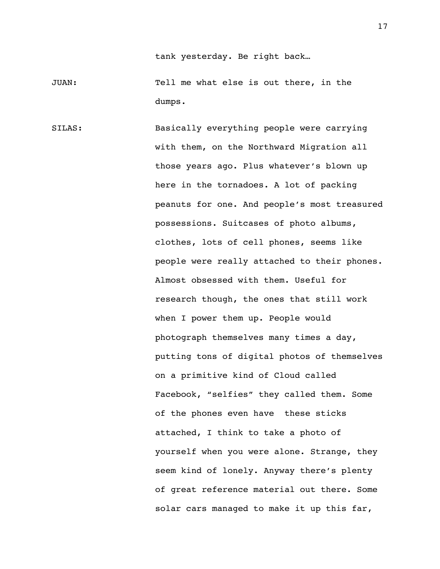tank yesterday. Be right back…

JUAN: Tell me what else is out there, in the dumps.

SILAS: Basically everything people were carrying with them, on the Northward Migration all those years ago. Plus whatever's blown up here in the tornadoes. A lot of packing peanuts for one. And people's most treasured possessions. Suitcases of photo albums, clothes, lots of cell phones, seems like people were really attached to their phones. Almost obsessed with them. Useful for research though, the ones that still work when I power them up. People would photograph themselves many times a day, putting tons of digital photos of themselves on a primitive kind of Cloud called Facebook, "selfies" they called them. Some of the phones even have these sticks attached, I think to take a photo of yourself when you were alone. Strange, they seem kind of lonely. Anyway there's plenty of great reference material out there. Some solar cars managed to make it up this far,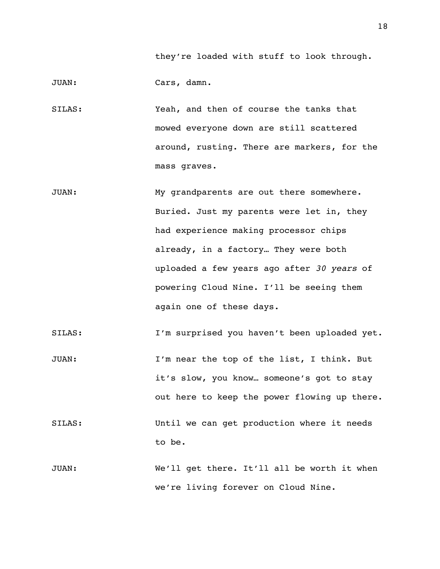they're loaded with stuff to look through.

JUAN: Cars, damn.

- SILAS: Yeah, and then of course the tanks that mowed everyone down are still scattered around, rusting. There are markers, for the mass graves.
- JUAN: My grandparents are out there somewhere. Buried. Just my parents were let in, they had experience making processor chips already, in a factory… They were both uploaded a few years ago after *30 years* of powering Cloud Nine. I'll be seeing them again one of these days.
- SILAS: I'm surprised you haven't been uploaded yet.
- JUAN: I'm near the top of the list, I think. But it's slow, you know… someone's got to stay out here to keep the power flowing up there.
- SILAS: Until we can get production where it needs to be.
- JUAN: We'll get there. It'll all be worth it when we're living forever on Cloud Nine.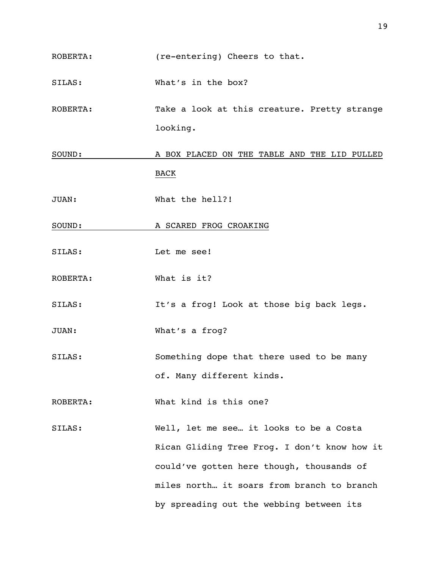ROBERTA: (re-entering) Cheers to that.

SILAS: What's in the box?

ROBERTA: Take a look at this creature. Pretty strange looking.

SOUND: A BOX PLACED ON THE TABLE AND THE LID PULLED BACK

JUAN: What the hell?!

SOUND: A SCARED FROG CROAKING

- SILAS: Let me see!
- ROBERTA: What is it?

SILAS: It's a frog! Look at those big back legs.

JUAN: What's a frog?

SILAS: Something dope that there used to be many of. Many different kinds.

ROBERTA: What kind is this one?

SILAS: Well, let me see… it looks to be a Costa Rican Gliding Tree Frog. I don't know how it could've gotten here though, thousands of miles north… it soars from branch to branch by spreading out the webbing between its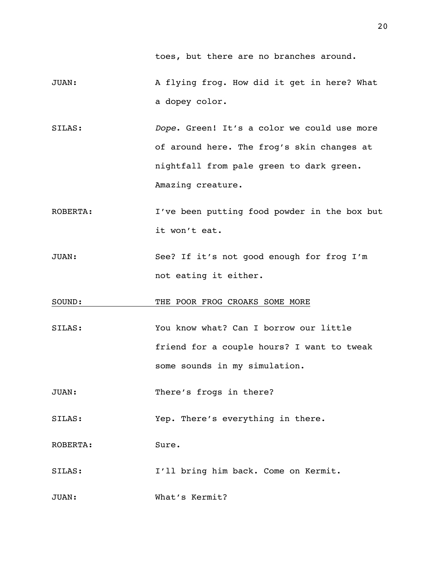toes, but there are no branches around.

- JUAN: A flying frog. How did it get in here? What a dopey color.
- SILAS: *Dope*. Green! It's a color we could use more of around here. The frog's skin changes at nightfall from pale green to dark green. Amazing creature.
- ROBERTA: I've been putting food powder in the box but it won't eat.
- JUAN: See? If it's not good enough for frog I'm not eating it either.
- SOUND: THE POOR FROG CROAKS SOME MORE
- SILAS: You know what? Can I borrow our little friend for a couple hours? I want to tweak some sounds in my simulation.
- JUAN: There's frogs in there?
- SILAS: Yep. There's everything in there.
- ROBERTA: Sure.
- SILAS: I'll bring him back. Come on Kermit.
- JUAN: What's Kermit?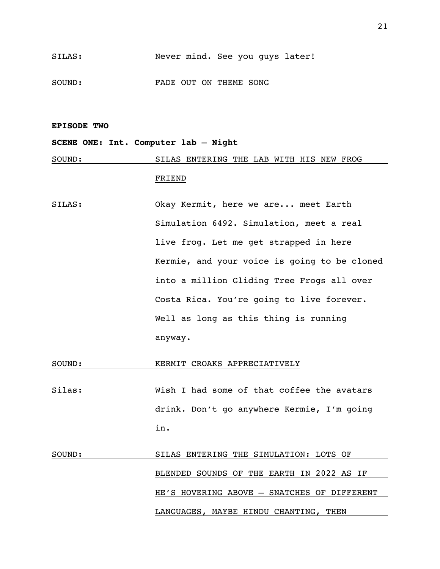SOUND: FADE OUT ON THEME SONG

#### **EPISODE TWO**

### **SCENE ONE: Int. Computer lab – Night**

SOUND: SILAS ENTERING THE LAB WITH HIS NEW FROG

### FRIEND

SILAS: Okay Kermit, here we are... meet Earth Simulation 6492. Simulation, meet a real live frog. Let me get strapped in here Kermie, and your voice is going to be cloned into a million Gliding Tree Frogs all over Costa Rica. You're going to live forever. Well as long as this thing is running anyway.

### SOUND: KERMIT CROAKS APPRECIATIVELY

Silas: Wish I had some of that coffee the avatars drink. Don't go anywhere Kermie, I'm going in.

## SOUND: SILAS ENTERING THE SIMULATION: LOTS OF BLENDED SOUNDS OF THE EARTH IN 2022 AS IF HE'S HOVERING ABOVE – SNATCHES OF DIFFERENT LANGUAGES, MAYBE HINDU CHANTING, THEN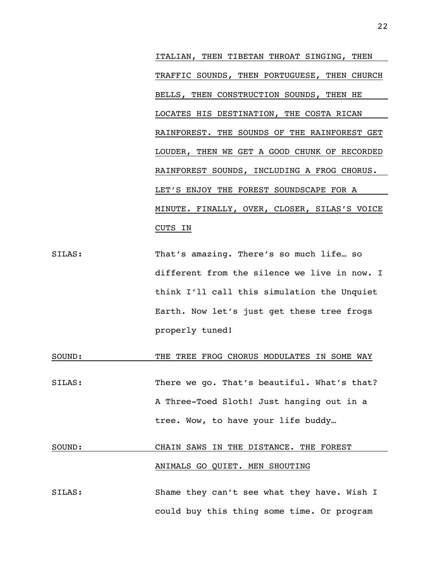ITALIAN, THEN TIBETAN THROAT SINGING, THEN TRAFFIC SOUNDS, THEN PORTUGUESE, THEN CHURCH BELLS, THEN CONSTRUCTION SOUNDS, THEN HE LOCATES HIS DESTINATION, THE COSTA RICAN RAINFOREST. THE SOUNDS OF THE RAINFOREST GET LOUDER, THEN WE GET A GOOD CHUNK OF RECORDED RAINFOREST SOUNDS, INCLUDING A FROG CHORUS. LET'S ENJOY THE FOREST SOUNDSCAPE FOR A MINUTE. FINALLY, OVER, CLOSER, SILAS'S VOICE CUTS IN

- SILAS: That's amazing. There's so much life… so different from the silence we live in now. I think I'll call this simulation the Unquiet Earth. Now let's just get these tree frogs properly tuned!
- SOUND: THE TREE FROG CHORUS MODULATES IN SOME WAY SILAS: There we go. That's beautiful. What's that? A Three-Toed Sloth! Just hanging out in a tree. Wow, to have your life buddy…

### SOUND: CHAIN SAWS IN THE DISTANCE. THE FOREST ANIMALS GO QUIET. MEN SHOUTING

SILAS: Shame they can't see what they have. Wish I could buy this thing some time. Or program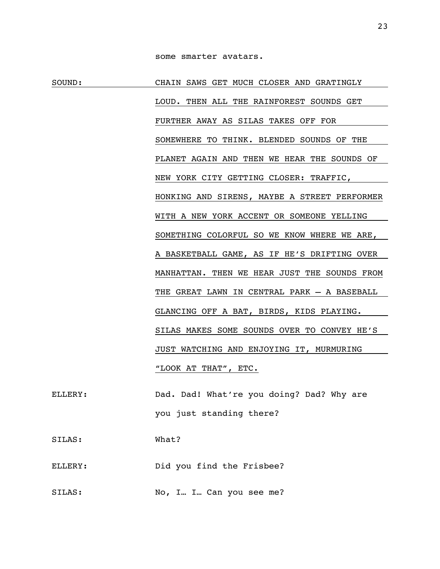SOUND: CHAIN SAWS GET MUCH CLOSER AND GRATINGLY LOUD. THEN ALL THE RAINFOREST SOUNDS GET FURTHER AWAY AS SILAS TAKES OFF FOR SOMEWHERE TO THINK. BLENDED SOUNDS OF THE PLANET AGAIN AND THEN WE HEAR THE SOUNDS OF NEW YORK CITY GETTING CLOSER: TRAFFIC, HONKING AND SIRENS, MAYBE A STREET PERFORMER WITH A NEW YORK ACCENT OR SOMEONE YELLING SOMETHING COLORFUL SO WE KNOW WHERE WE ARE, A BASKETBALL GAME, AS IF HE'S DRIFTING OVER MANHATTAN. THEN WE HEAR JUST THE SOUNDS FROM THE GREAT LAWN IN CENTRAL PARK – A BASEBALL GLANCING OFF A BAT, BIRDS, KIDS PLAYING. SILAS MAKES SOME SOUNDS OVER TO CONVEY HE'S JUST WATCHING AND ENJOYING IT, MURMURING "LOOK AT THAT", ETC. ELLERY: Dad. Dad! What're you doing? Dad? Why are

you just standing there?

SILAS: What?

ELLERY: Did you find the Frisbee?

SILAS: No, I... I... Can you see me?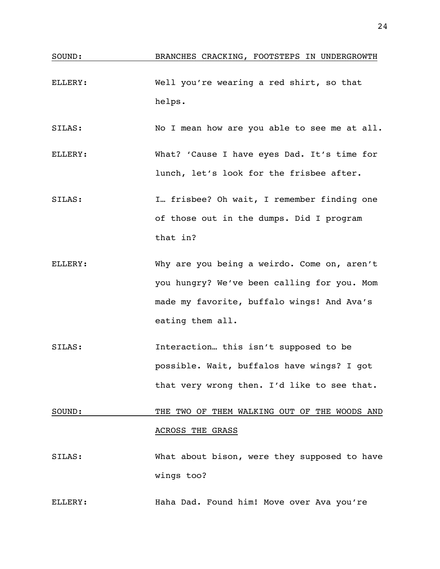- ELLERY: Well you're wearing a red shirt, so that helps.
- SILAS: No I mean how are you able to see me at all.
- ELLERY: What? 'Cause I have eyes Dad. It's time for lunch, let's look for the frisbee after.
- SILAS: I… frisbee? Oh wait, I remember finding one of those out in the dumps. Did I program that in?
- ELLERY: Why are you being a weirdo. Come on, aren't you hungry? We've been calling for you. Mom made my favorite, buffalo wings! And Ava's eating them all.
- SILAS: Interaction… this isn't supposed to be possible. Wait, buffalos have wings? I got that very wrong then. I'd like to see that.

### SOUND: THE TWO OF THEM WALKING OUT OF THE WOODS AND ACROSS THE GRASS

SILAS: What about bison, were they supposed to have wings too?

ELLERY: Haha Dad. Found him! Move over Ava you're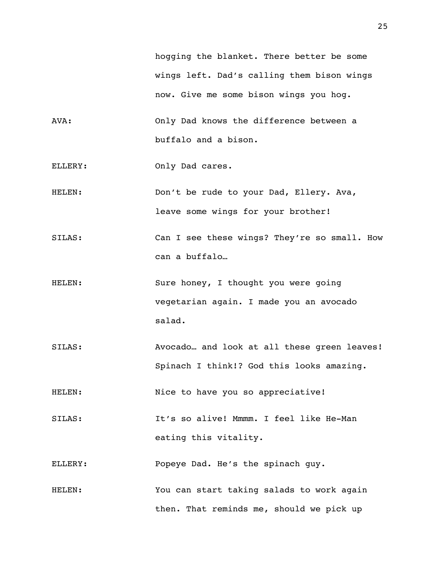hogging the blanket. There better be some wings left. Dad's calling them bison wings now. Give me some bison wings you hog.

- AVA: Only Dad knows the difference between a buffalo and a bison.
- ELLERY: Only Dad cares.
- HELEN: Don't be rude to your Dad, Ellery. Ava, leave some wings for your brother!
- SILAS: Can I see these wings? They're so small. How can a buffalo…
- HELEN: Sure honey, I thought you were going vegetarian again. I made you an avocado salad.
- SILAS: Avocado… and look at all these green leaves! Spinach I think!? God this looks amazing.

HELEN: Nice to have you so appreciative!

SILAS: It's so alive! Mmmm. I feel like He-Man eating this vitality.

ELLERY: Popeye Dad. He's the spinach guy.

HELEN: You can start taking salads to work again then. That reminds me, should we pick up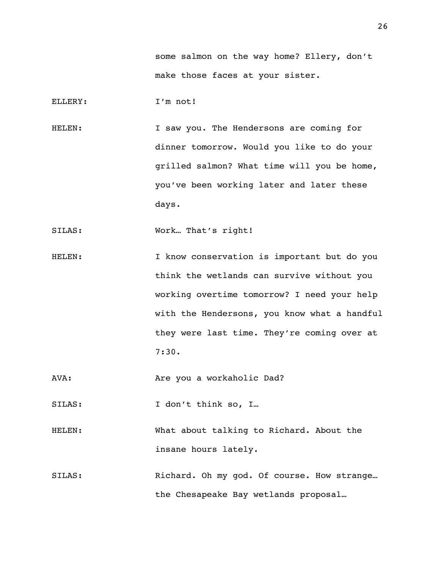some salmon on the way home? Ellery, don't make those faces at your sister.

ELLERY: I'm not!

HELEN: I saw you. The Hendersons are coming for dinner tomorrow. Would you like to do your grilled salmon? What time will you be home, you've been working later and later these days.

SILAS: Work... That's right!

HELEN: I know conservation is important but do you think the wetlands can survive without you working overtime tomorrow? I need your help with the Hendersons, you know what a handful they were last time. They're coming over at 7:30.

AVA: Are you a workaholic Dad?

SILAS: I don't think so, I...

- HELEN: What about talking to Richard. About the insane hours lately.
- SILAS: Richard. Oh my god. Of course. How strange… the Chesapeake Bay wetlands proposal…

26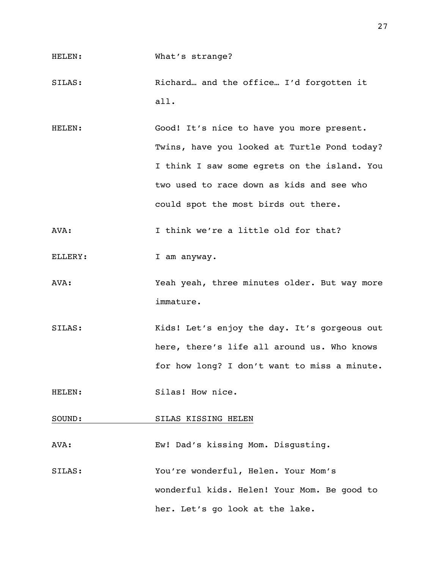### HELEN: What's strange?

- SILAS: Richard… and the office… I'd forgotten it all.
- HELEN: Good! It's nice to have you more present. Twins, have you looked at Turtle Pond today? I think I saw some egrets on the island. You two used to race down as kids and see who could spot the most birds out there.
- AVA: I think we're a little old for that?
- ELLERY: I am anyway.
- AVA: Yeah yeah, three minutes older. But way more immature.
- SILAS: Kids! Let's enjoy the day. It's gorgeous out here, there's life all around us. Who knows for how long? I don't want to miss a minute.
- HELEN: Silas! How nice.
- SOUND: SILAS KISSING HELEN
- AVA: Ew! Dad's kissing Mom. Disgusting.
- SILAS: You're wonderful, Helen. Your Mom's wonderful kids. Helen! Your Mom. Be good to her. Let's go look at the lake.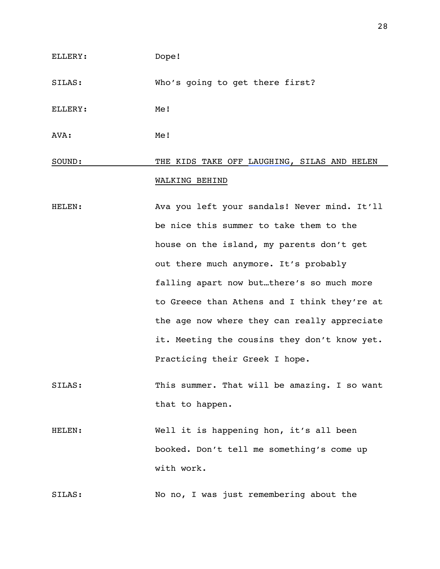### ELLERY: Dope!

SILAS: Who's going to get there first?

ELLERY: Me!

AVA: Me!

### SOUND: THE KIDS TAKE OFF LAUGHING, SILAS AND HELEN WALKING BEHIND

- HELEN: Ava you left your sandals! Never mind. It'll be nice this summer to take them to the house on the island, my parents don't get out there much anymore. It's probably falling apart now but…there's so much more to Greece than Athens and I think they're at the age now where they can really appreciate it. Meeting the cousins they don't know yet. Practicing their Greek I hope.
- SILAS: This summer. That will be amazing. I so want that to happen.
- HELEN: Well it is happening hon, it's all been booked. Don't tell me something's come up with work.

SILAS: No no, I was just remembering about the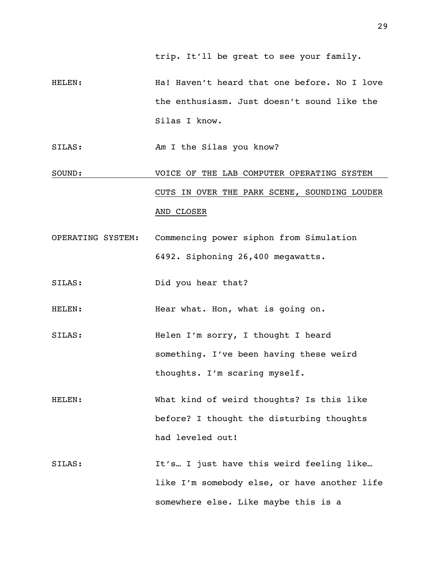trip. It'll be great to see your family.

HELEN: Ha! Haven't heard that one before. No I love the enthusiasm. Just doesn't sound like the Silas I know.

SILAS: *Am* I the Silas you know?

- SOUND: VOICE OF THE LAB COMPUTER OPERATING SYSTEM CUTS IN OVER THE PARK SCENE, SOUNDING LOUDER AND CLOSER
- OPERATING SYSTEM: Commencing power siphon from Simulation 6492. Siphoning 26,400 megawatts.
- SILAS: Did you hear that?

HELEN: Hear what. Hon, what is going on.

- SILAS: Helen I'm sorry, I thought I heard something. I've been having these weird thoughts. I'm scaring myself.
- HELEN: What kind of weird thoughts? Is this like before? I thought the disturbing thoughts had leveled out!
- SILAS: The It's… I just have this weird feeling like… like I'm somebody else, or have another life somewhere else. Like maybe this is a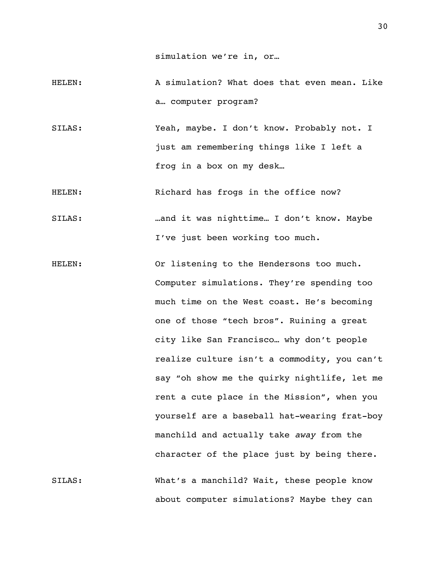simulation we're in, or…

- HELEN: A simulation? What does that even mean. Like a… computer program?
- SILAS: Yeah, maybe. I don't know. Probably not. I just am remembering things like I left a frog in a box on my desk…

HELEN: Richard has frogs in the office now?

- SILAS: …and it was nighttime… I don't know. Maybe I've just been working too much.
- HELEN: Or listening to the Hendersons too much. Computer simulations. They're spending too much time on the West coast. He's becoming one of those "tech bros". Ruining a great city like San Francisco… why don't people realize culture isn't a commodity, you can't say "oh show me the quirky nightlife, let me rent a cute place in the Mission", when you yourself are a baseball hat-wearing frat-boy manchild and actually take *away* from the character of the place just by being there. SILAS: What's a manchild? Wait, these people know about computer simulations? Maybe they can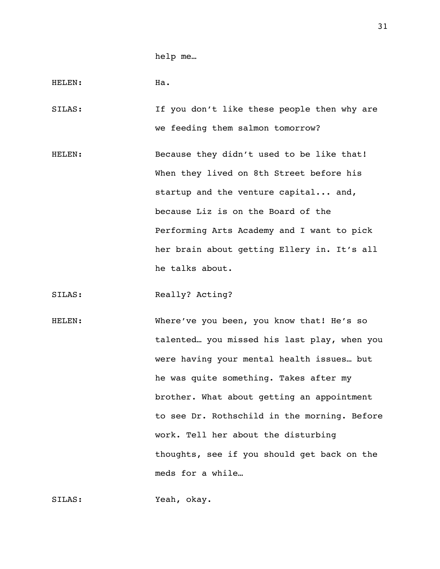help me…

HELEN: Ha.

SILAS: If you don't like these people then why are we feeding them salmon tomorrow?

HELEN: Because they didn't used to be like that! When they lived on 8th Street before his startup and the venture capital... and, because Liz is on the Board of the Performing Arts Academy and I want to pick her brain about getting Ellery in. It's all he talks about.

SILAS: Really? Acting?

HELEN: Where've you been, you know that! He's so talented… you missed his last play, when you were having your mental health issues… but he was quite something. Takes after my brother. What about getting an appointment to see Dr. Rothschild in the morning. Before work. Tell her about the disturbing thoughts, see if you should get back on the meds for a while…

SILAS: Yeah, okay.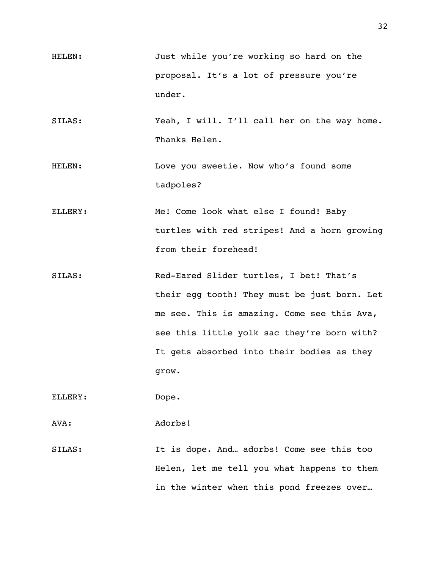- HELEN: Just while you're working so hard on the proposal. It's a lot of pressure you're under.
- SILAS: Yeah, I will. I'll call her on the way home. Thanks Helen.
- HELEN: Love you sweetie. Now who's found some tadpoles?
- ELLERY: Me! Come look what else I found! Baby turtles with red stripes! And a horn growing from their forehead!
- SILAS: Red-Eared Slider turtles, I bet! That's their egg tooth! They must be just born. Let me see. This is amazing. Come see this Ava, see this little yolk sac they're born with? It gets absorbed into their bodies as they grow.

ELLERY: Dope.

AVA: Adorbs!

SILAS: It is dope. And… adorbs! Come see this too Helen, let me tell you what happens to them in the winter when this pond freezes over…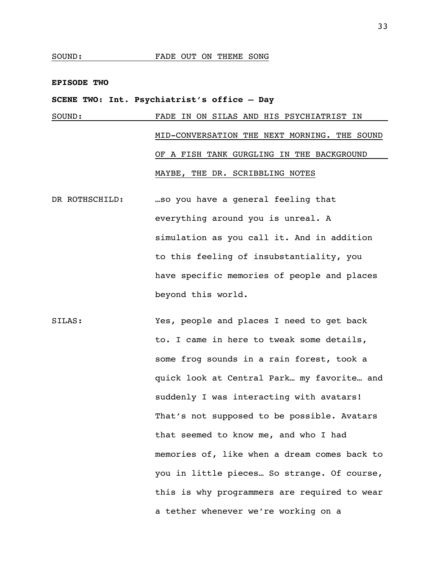### **EPISODE TWO**

### **SCENE TWO: Int. Psychiatrist's office – Day**

### SOUND: FADE IN ON SILAS AND HIS PSYCHIATRIST IN MID-CONVERSATION THE NEXT MORNING. THE SOUND OF A FISH TANK GURGLING IN THE BACKGROUND MAYBE, THE DR. SCRIBBLING NOTES

- DR ROTHSCHILD: …so you have a general feeling that everything around you is unreal. A simulation as you call it. And in addition to this feeling of insubstantiality, you have specific memories of people and places beyond this world.
- SILAS: Yes, people and places I need to get back to. I came in here to tweak some details, some frog sounds in a rain forest, took a quick look at Central Park… my favorite… and suddenly I was interacting with avatars! That's not supposed to be possible. Avatars that seemed to know me, and who I had memories of, like when a dream comes back to you in little pieces… So strange. Of course, this is why programmers are required to wear a tether whenever we're working on a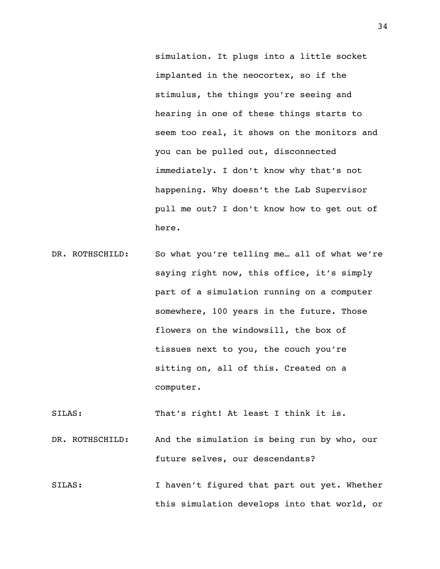simulation. It plugs into a little socket implanted in the neocortex, so if the stimulus, the things you're seeing and hearing in one of these things starts to seem too real, it shows on the monitors and you can be pulled out, disconnected immediately. I don't know why that's not happening. Why doesn't the Lab Supervisor pull me out? I don't know how to get out of here.

DR. ROTHSCHILD: So what you're telling me... all of what we're saying right now, this office, it's simply part of a simulation running on a computer somewhere, 100 years in the future. Those flowers on the windowsill, the box of tissues next to you, the couch you're sitting on, all of this. Created on a computer.

SILAS: That's right! At least I think it is.

- DR. ROTHSCHILD: And the simulation is being run by who, our future selves, our descendants?
- SILAS: I haven't figured that part out yet. Whether this simulation develops into that world, or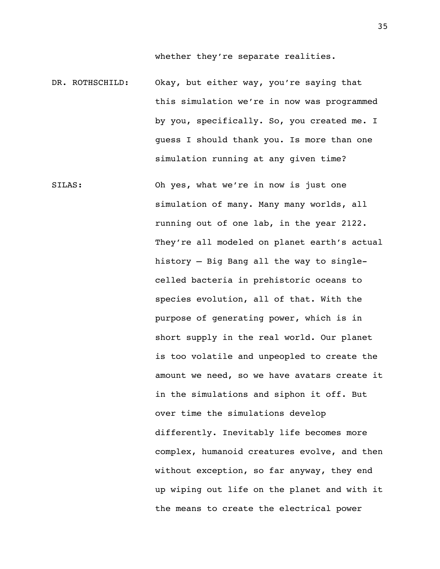whether they're separate realities.

- DR. ROTHSCHILD: Okay, but either way, you're saying that this simulation we're in now was programmed by you, specifically. So, you created me. I guess I should thank you. Is more than one simulation running at any given time?
- SILAS: Oh yes, what we're in now is just one simulation of many. Many many worlds, all running out of one lab, in the year 2122. They're all modeled on planet earth's actual history – Big Bang all the way to singlecelled bacteria in prehistoric oceans to species evolution, all of that. With the purpose of generating power, which is in short supply in the real world. Our planet is too volatile and unpeopled to create the amount we need, so we have avatars create it in the simulations and siphon it off. But over time the simulations develop differently. Inevitably life becomes more complex, humanoid creatures evolve, and then without exception, so far anyway, they end up wiping out life on the planet and with it the means to create the electrical power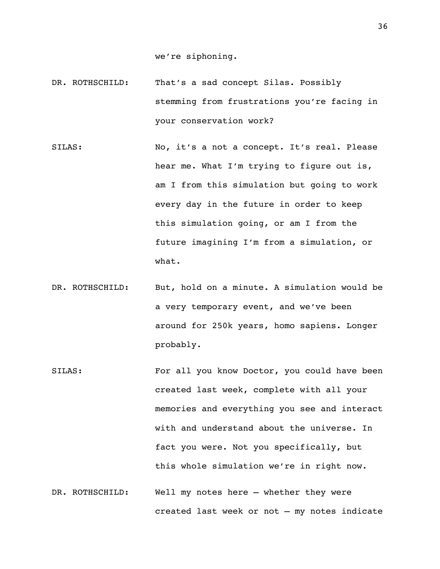we're siphoning.

- DR. ROTHSCHILD: That's a sad concept Silas. Possibly stemming from frustrations you're facing in your conservation work?
- SILAS: No, it's a not a concept. It's real. Please hear me. What I'm trying to figure out is, am I from this simulation but going to work every day in the future in order to keep this simulation going, or am I from the future imagining I'm from a simulation, or what.
- DR. ROTHSCHILD: But, hold on a minute. A simulation would be a very temporary event, and we've been around for 250k years, homo sapiens. Longer probably.
- SILAS: For all you know Doctor, you could have been created last week, complete with all your memories and everything you see and interact with and understand about the universe. In fact you were. Not you specifically, but this whole simulation we're in right now.
- DR. ROTHSCHILD: Well my notes here whether they were created last week or not – my notes indicate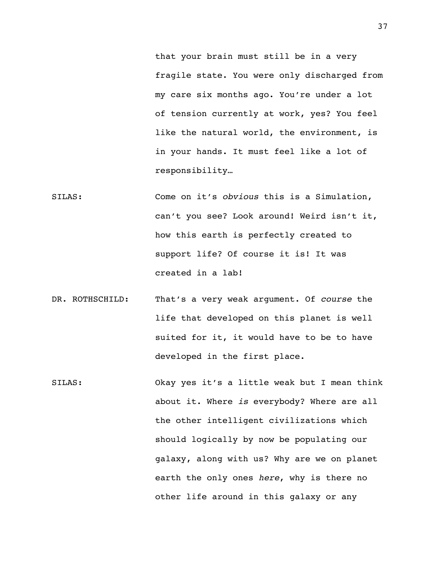that your brain must still be in a very fragile state. You were only discharged from my care six months ago. You're under a lot of tension currently at work, yes? You feel like the natural world, the environment, is in your hands. It must feel like a lot of responsibility…

- SILAS: Come on it's *obvious* this is a Simulation, can't you see? Look around! Weird isn't it, how this earth is perfectly created to support life? Of course it is! It was created in a lab!
- DR. ROTHSCHILD: That's a very weak argument. Of *course* the life that developed on this planet is well suited for it, it would have to be to have developed in the first place.
- SILAS: Okay yes it's a little weak but I mean think about it. Where *is* everybody? Where are all the other intelligent civilizations which should logically by now be populating our galaxy, along with us? Why are we on planet earth the only ones *here*, why is there no other life around in this galaxy or any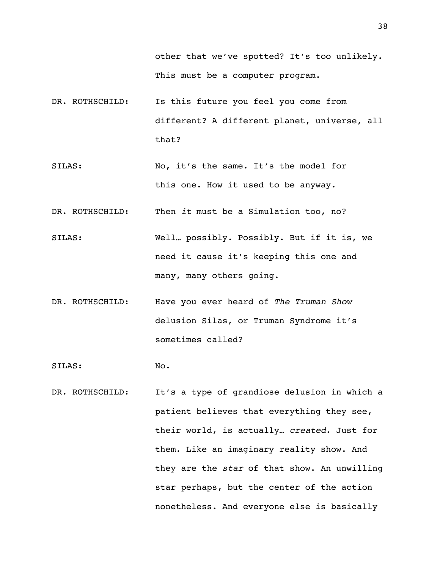other that we've spotted? It's too unlikely. This must be a computer program.

- DR. ROTHSCHILD: Is this future you feel you come from different? A different planet, universe, all that?
- SILAS: No, it's the same. It's the model for this one. How it used to be anyway.
- DR. ROTHSCHILD: Then *it* must be a Simulation too, no?
- SILAS: Well… possibly. Possibly. But if it is, we need it cause it's keeping this one and many, many others going.
- DR. ROTHSCHILD: Have you ever heard of *The Truman Show* delusion Silas, or Truman Syndrome it's sometimes called?

SILAS: No.

DR. ROTHSCHILD: It's a type of grandiose delusion in which a patient believes that everything they see, their world, is actually… *created*. Just for them. Like an imaginary reality show. And they are the *star* of that show. An unwilling star perhaps, but the center of the action nonetheless. And everyone else is basically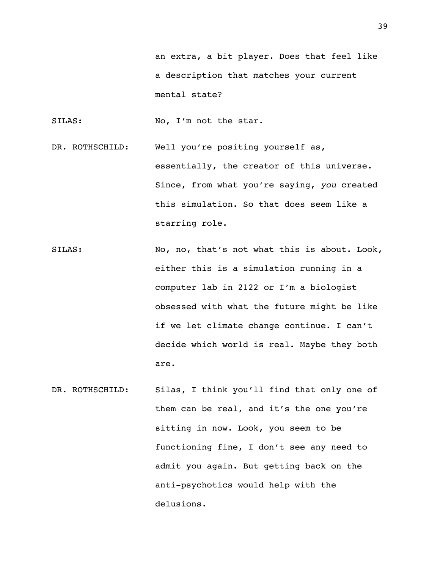SILAS: No, I'm not the star.

- DR. ROTHSCHILD: Well you're positing yourself as, essentially, the creator of this universe. Since, from what you're saying, *you* created this simulation. So that does seem like a starring role.
- SILAS: No, no, that's not what this is about. Look, either this is a simulation running in a computer lab in 2122 or I'm a biologist obsessed with what the future might be like if we let climate change continue. I can't decide which world is real. Maybe they both are.
- DR. ROTHSCHILD: Silas, I think you'll find that only one of them can be real, and it's the one you're sitting in now. Look, you seem to be functioning fine, I don't see any need to admit you again. But getting back on the anti-psychotics would help with the delusions.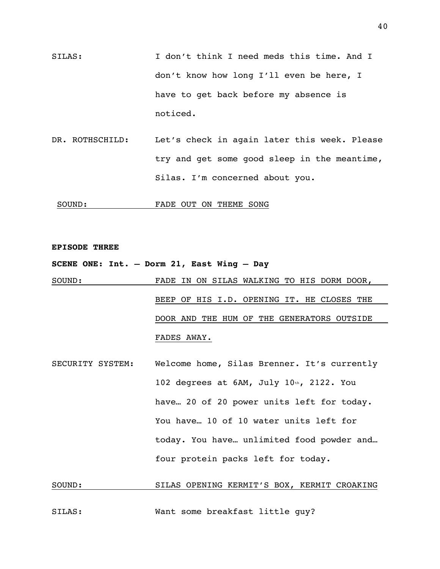- SILAS: I don't think I need meds this time. And I don't know how long I'll even be here, I have to get back before my absence is noticed.
- DR. ROTHSCHILD: Let's check in again later this week. Please try and get some good sleep in the meantime, Silas. I'm concerned about you.

SOUND: FADE OUT ON THEME SONG

### **EPISODE THREE**

### **SCENE ONE: Int. – Dorm 21, East Wing – Day**

- SOUND: FADE IN ON SILAS WALKING TO HIS DORM DOOR, BEEP OF HIS I.D. OPENING IT. HE CLOSES THE DOOR AND THE HUM OF THE GENERATORS OUTSIDE FADES AWAY.
- SECURITY SYSTEM: Welcome home, Silas Brenner. It's currently 102 degrees at 6AM, July 10th, 2122. You have… 20 of 20 power units left for today. You have… 10 of 10 water units left for today. You have… unlimited food powder and… four protein packs left for today.

### SOUND: SILAS OPENING KERMIT'S BOX, KERMIT CROAKING

SILAS: Want some breakfast little guy?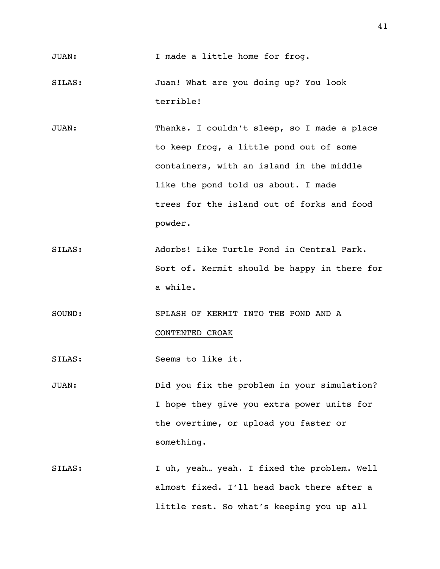- SILAS: Juan! What are you doing up? You look terrible!
- JUAN: Thanks. I couldn't sleep, so I made a place to keep frog, a little pond out of some containers, with an island in the middle like the pond told us about. I made trees for the island out of forks and food powder.
- SILAS: Adorbs! Like Turtle Pond in Central Park. Sort of. Kermit should be happy in there for a while.
- SOUND: SPLASH OF KERMIT INTO THE POND AND A CONTENTED CROAK
- SILAS: Seems to like it.
- JUAN: Did you fix the problem in your simulation? I hope they give you extra power units for the overtime, or upload you faster or something.
- SILAS: I uh, yeah… yeah. I fixed the problem. Well almost fixed. I'll head back there after a little rest. So what's keeping you up all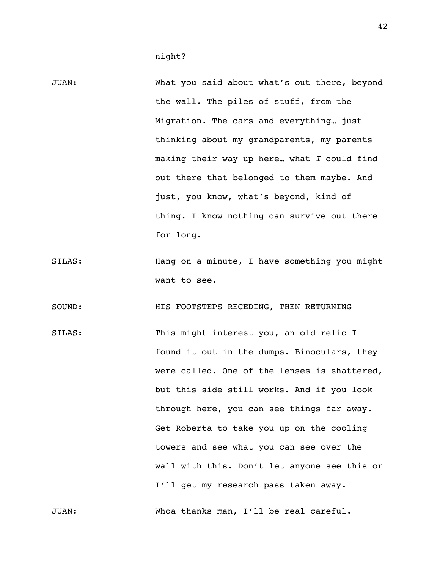- JUAN: What you said about what's out there, beyond the wall. The piles of stuff, from the Migration. The cars and everything… just thinking about my grandparents, my parents making their way up here… what *I* could find out there that belonged to them maybe. And just, you know, what's beyond, kind of thing. I know nothing can survive out there for long.
- SILAS: Hang on a minute, I have something you might want to see.

### SOUND: HIS FOOTSTEPS RECEDING, THEN RETURNING

SILAS: This might interest you, an old relic I found it out in the dumps. Binoculars, they were called. One of the lenses is shattered, but this side still works. And if you look through here, you can see things far away. Get Roberta to take you up on the cooling towers and see what you can see over the wall with this. Don't let anyone see this or I'll get my research pass taken away.

JUAN: Whoa thanks man, I'll be real careful.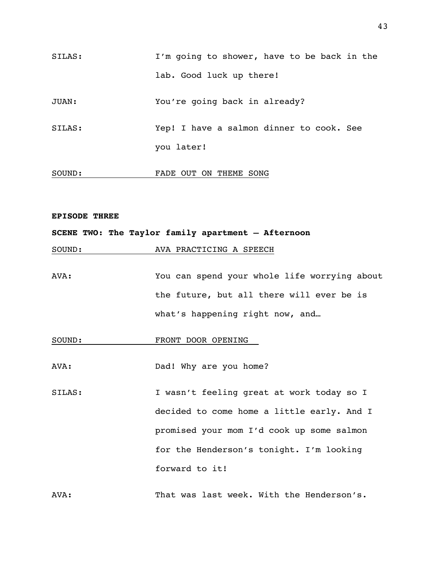| SILAS: | I'm going to shower, have to be back in the |
|--------|---------------------------------------------|
|        | lab. Good luck up there!                    |
| JUAN:  | You're going back in already?               |
| SILAS: | Yep! I have a salmon dinner to cook. See    |
|        | you later!                                  |
| SOUND: | FADE OUT ON THEME SONG                      |

### **EPISODE THREE**

### **SCENE TWO: The Taylor family apartment – Afternoon**

SOUND: AVA PRACTICING A SPEECH

AVA: You can spend your whole life worrying about the future, but all there will ever be is what's happening right now, and...

### SOUND: FRONT DOOR OPENING

AVA: Dad! Why are you home?

SILAS: I wasn't feeling great at work today so I decided to come home a little early. And I promised your mom I'd cook up some salmon for the Henderson's tonight. I'm looking forward to it!

AVA: That was last week. With the Henderson's.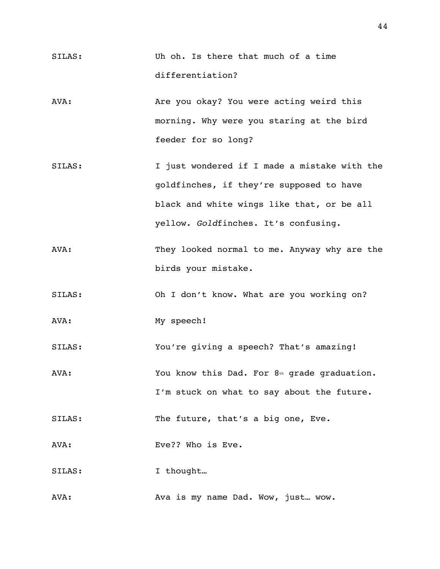- SILAS: Uh oh. Is there that much of a time differentiation?
- AVA: Are you okay? You were acting weird this morning. Why were you staring at the bird feeder for so long?
- SILAS: I just wondered if I made a mistake with the goldfinches, if they're supposed to have black and white wings like that, or be all yellow. *Gold*finches. It's confusing.
- AVA: They looked normal to me. Anyway why are the birds your mistake.
- SILAS: Oh I don't know. What are you working on?
- AVA: My speech!
- SILAS: You're giving a speech? That's amazing!
- AVA: You know this Dad. For 8th grade graduation. I'm stuck on what to say about the future.
- SILAS: The future, that's a big one, Eve.
- AVA: Eve?? Who is Eve.
- SILAS: I thought...
- AVA: Ava is my name Dad. Wow, just… wow.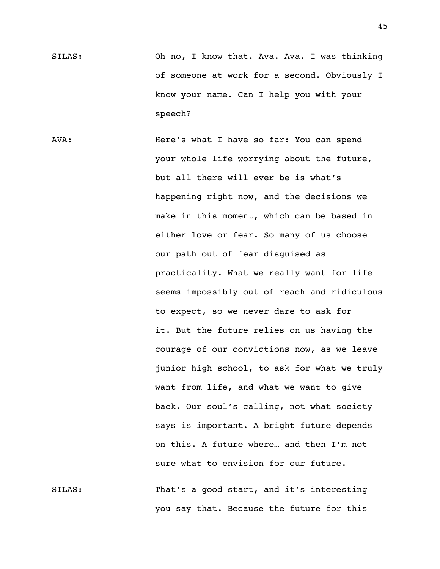SILAS: Oh no, I know that. Ava. Ava. I was thinking of someone at work for a second. Obviously I know your name. Can I help you with your speech?

AVA: Here's what I have so far: You can spend your whole life worrying about the future, but all there will ever be is what's happening right now, and the decisions we make in this moment, which can be based in either love or fear. So many of us choose our path out of fear disguised as practicality. What we really want for life seems impossibly out of reach and ridiculous to expect, so we never dare to ask for it. But the future relies on us having the courage of our convictions now, as we leave junior high school, to ask for what we truly want from life, and what we want to give back. Our soul's calling, not what society says is important. A bright future depends on this. A future where… and then I'm not sure what to envision for our future. SILAS: That's a good start, and it's interesting

you say that. Because the future for this

45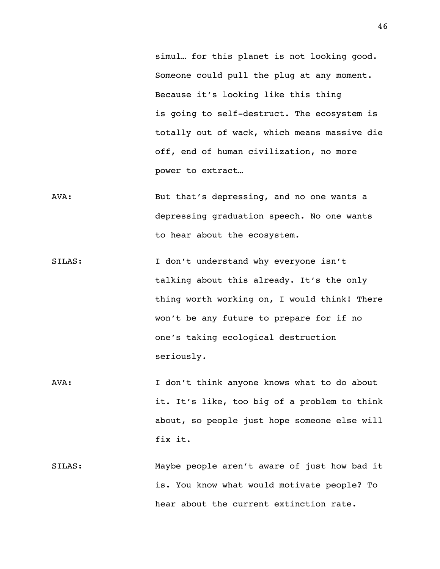simul… for this planet is not looking good. Someone could pull the plug at any moment. Because it's looking like this thing is going to self-destruct. The ecosystem is totally out of wack, which means massive die off, end of human civilization, no more power to extract…

- AVA: But that's depressing, and no one wants a depressing graduation speech. No one wants to hear about the ecosystem.
- SILAS: I don't understand why everyone isn't talking about this already. It's the only thing worth working on, I would think! There won't be any future to prepare for if no one's taking ecological destruction seriously.
- AVA: I don't think anyone knows what to do about it. It's like, too big of a problem to think about, so people just hope someone else will fix it.
- SILAS: Maybe people aren't aware of just how bad it is. You know what would motivate people? To hear about the current extinction rate.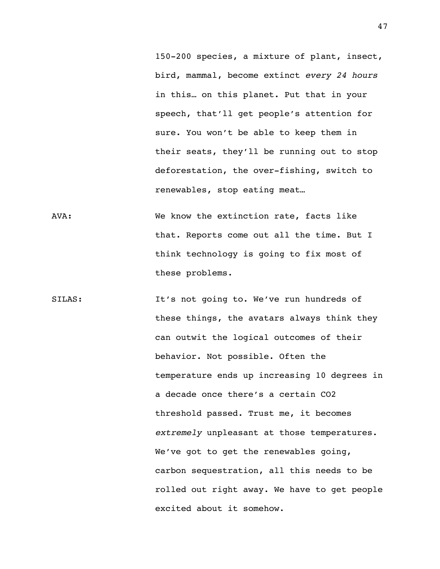150-200 species, a mixture of plant, insect, bird, mammal, become extinct *every 24 hours* in this… on this planet. Put that in your speech, that'll get people's attention for sure. You won't be able to keep them in their seats, they'll be running out to stop deforestation, the over-fishing, switch to renewables, stop eating meat…

- AVA: We know the extinction rate, facts like that. Reports come out all the time. But I think technology is going to fix most of these problems.
- SILAS: It's not going to. We've run hundreds of these things, the avatars always think they can outwit the logical outcomes of their behavior. Not possible. Often the temperature ends up increasing 10 degrees in a decade once there's a certain CO2 threshold passed. Trust me, it becomes *extremely* unpleasant at those temperatures. We've got to get the renewables going, carbon sequestration, all this needs to be rolled out right away. We have to get people excited about it somehow.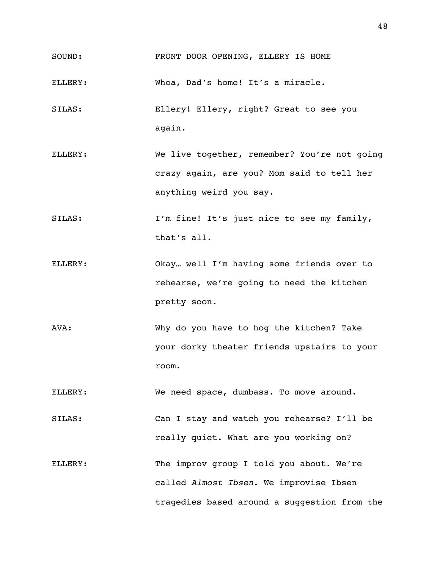| SOUND:  | FRONT DOOR OPENING, ELLERY IS HOME                                                                                                                                            |
|---------|-------------------------------------------------------------------------------------------------------------------------------------------------------------------------------|
| ELLERY: | Whoa, Dad's home! It's a miracle.                                                                                                                                             |
| SILAS:  | Ellery! Ellery, right? Great to see you<br>again.                                                                                                                             |
| ELLERY: | We live together, remember? You're not going<br>crazy again, are you? Mom said to tell her                                                                                    |
| SILAS:  | anything weird you say.<br>I'm fine! It's just nice to see my family,<br>that's all.                                                                                          |
| ELLERY: | Okay well I'm having some friends over to<br>rehearse, we're going to need the kitchen                                                                                        |
| AVA:    | pretty soon.<br>Why do you have to hog the kitchen? Take<br>your dorky theater friends upstairs to your<br>room.                                                              |
| ELLERY: | We need space, dumbass. To move around.                                                                                                                                       |
| SILAS:  | Can I stay and watch you rehearse? I'll be                                                                                                                                    |
| ELLERY: | really quiet. What are you working on?<br>The improv group I told you about. We're<br>called Almost Ibsen. We improvise Ibsen<br>tragedies based around a suggestion from the |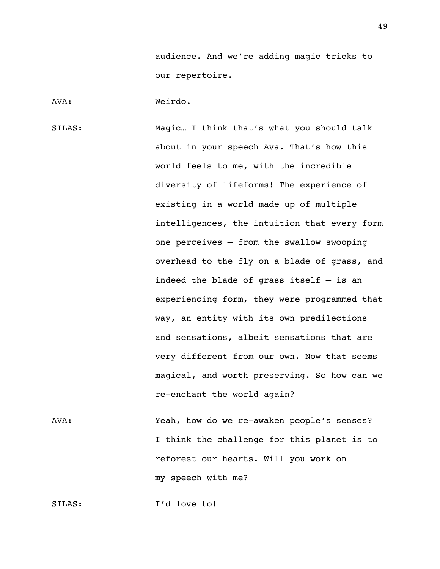audience. And we're adding magic tricks to our repertoire.

AVA: Weirdo.

SILAS: Magic… I think that's what you should talk about in your speech Ava. That's how this world feels to me, with the incredible diversity of lifeforms! The experience of existing in a world made up of multiple intelligences, the intuition that every form one perceives — from the swallow swooping overhead to the fly on a blade of grass, and indeed the blade of grass itself — is an experiencing form, they were programmed that way, an entity with its own predilections and sensations, albeit sensations that are very different from our own. Now that seems magical, and worth preserving. So how can we re-enchant the world again?

AVA: Yeah, how do we re-awaken people's senses? I think the challenge for this planet is to reforest our hearts. Will you work on my speech with me?

SILAS: I'd love to!

49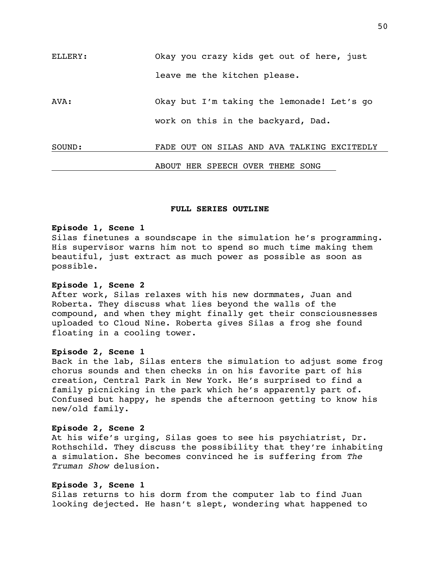| ELLERY: | Okay you crazy kids get out of here, just   |
|---------|---------------------------------------------|
|         | leave me the kitchen please.                |
| AVA:    | Okay but I'm taking the lemonade! Let's go  |
|         | work on this in the backyard, Dad.          |
| SOUND:  | FADE OUT ON SILAS AND AVA TALKING EXCITEDLY |
|         | ABOUT HER SPEECH OVER THEME SONG            |

### **FULL SERIES OUTLINE**

#### **Episode 1, Scene 1**

Silas finetunes a soundscape in the simulation he's programming. His supervisor warns him not to spend so much time making them beautiful, just extract as much power as possible as soon as possible.

### **Episode 1, Scene 2**

After work, Silas relaxes with his new dormmates, Juan and Roberta. They discuss what lies beyond the walls of the compound, and when they might finally get their consciousnesses uploaded to Cloud Nine. Roberta gives Silas a frog she found floating in a cooling tower.

### **Episode 2, Scene 1**

Back in the lab, Silas enters the simulation to adjust some frog chorus sounds and then checks in on his favorite part of his creation, Central Park in New York. He's surprised to find a family picnicking in the park which he's apparently part of. Confused but happy, he spends the afternoon getting to know his new/old family.

### **Episode 2, Scene 2**

At his wife's urging, Silas goes to see his psychiatrist, Dr. Rothschild. They discuss the possibility that they're inhabiting a simulation. She becomes convinced he is suffering from *The Truman Show* delusion.

### **Episode 3, Scene 1**

Silas returns to his dorm from the computer lab to find Juan looking dejected. He hasn't slept, wondering what happened to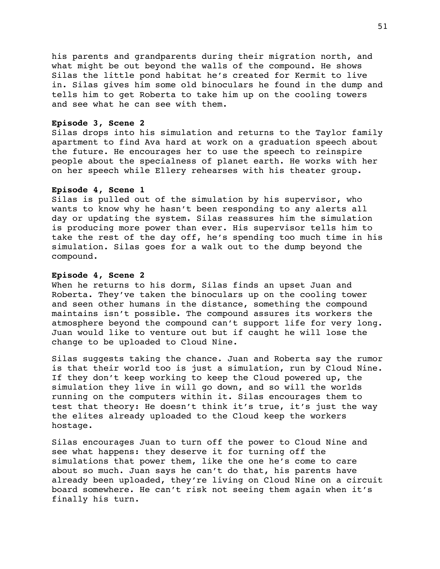his parents and grandparents during their migration north, and what might be out beyond the walls of the compound. He shows Silas the little pond habitat he's created for Kermit to live in. Silas gives him some old binoculars he found in the dump and tells him to get Roberta to take him up on the cooling towers and see what he can see with them.

### **Episode 3, Scene 2**

Silas drops into his simulation and returns to the Taylor family apartment to find Ava hard at work on a graduation speech about the future. He encourages her to use the speech to reinspire people about the specialness of planet earth. He works with her on her speech while Ellery rehearses with his theater group.

### **Episode 4, Scene 1**

Silas is pulled out of the simulation by his supervisor, who wants to know why he hasn't been responding to any alerts all day or updating the system. Silas reassures him the simulation is producing more power than ever. His supervisor tells him to take the rest of the day off, he's spending too much time in his simulation. Silas goes for a walk out to the dump beyond the compound.

### **Episode 4, Scene 2**

When he returns to his dorm, Silas finds an upset Juan and Roberta. They've taken the binoculars up on the cooling tower and seen other humans in the distance, something the compound maintains isn't possible. The compound assures its workers the atmosphere beyond the compound can't support life for very long. Juan would like to venture out but if caught he will lose the change to be uploaded to Cloud Nine.

Silas suggests taking the chance. Juan and Roberta say the rumor is that their world too is just a simulation, run by Cloud Nine. If they don't keep working to keep the Cloud powered up, the simulation they live in will go down, and so will the worlds running on the computers within it. Silas encourages them to test that theory: He doesn't think it's true, it's just the way the elites already uploaded to the Cloud keep the workers hostage.

Silas encourages Juan to turn off the power to Cloud Nine and see what happens: they deserve it for turning off the simulations that power them, like the one he's come to care about so much. Juan says he can't do that, his parents have already been uploaded, they're living on Cloud Nine on a circuit board somewhere. He can't risk not seeing them again when it's finally his turn.